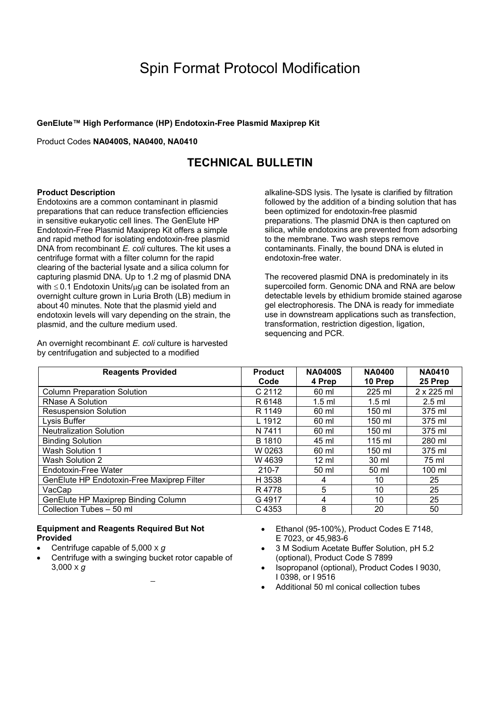**GenElute™ High Performance (HP) Endotoxin-Free Plasmid Maxiprep Kit** 

Product Codes **NA0400S, NA0400, NA0410**

## **TECHNICAL BULLETIN**

#### **Product Description**

Endotoxins are a common contaminant in plasmid preparations that can reduce transfection efficiencies in sensitive eukaryotic cell lines. The GenElute HP Endotoxin-Free Plasmid Maxiprep Kit offers a simple and rapid method for isolating endotoxin-free plasmid DNA from recombinant *E. coli* cultures. The kit uses a centrifuge format with a filter column for the rapid clearing of the bacterial lysate and a silica column for capturing plasmid DNA. Up to 1.2 mg of plasmid DNA with  $\leq$  0.1 Endotoxin Units/ $\mu$ g can be isolated from an overnight culture grown in Luria Broth (LB) medium in about 40 minutes. Note that the plasmid yield and endotoxin levels will vary depending on the strain, the plasmid, and the culture medium used.

An overnight recombinant *E. coli* culture is harvested by centrifugation and subjected to a modified

alkaline-SDS lysis. The lysate is clarified by filtration followed by the addition of a binding solution that has been optimized for endotoxin-free plasmid preparations. The plasmid DNA is then captured on silica, while endotoxins are prevented from adsorbing to the membrane. Two wash steps remove contaminants. Finally, the bound DNA is eluted in endotoxin-free water.

The recovered plasmid DNA is predominately in its supercoiled form. Genomic DNA and RNA are below detectable levels by ethidium bromide stained agarose gel electrophoresis. The DNA is ready for immediate use in downstream applications such as transfection, transformation, restriction digestion, ligation, sequencing and PCR.

| <b>Reagents Provided</b>                   | <b>Product</b><br>Code | <b>NA0400S</b><br>4 Prep | <b>NA0400</b><br>10 Prep | <b>NA0410</b><br>25 Prep |
|--------------------------------------------|------------------------|--------------------------|--------------------------|--------------------------|
| <b>Column Preparation Solution</b>         | C 2112                 | 60 ml                    | 225 ml                   | 2 x 225 ml               |
| <b>RNase A Solution</b>                    | R 6148                 | $1.5$ ml                 | $1.5$ ml                 | $2.5$ ml                 |
| <b>Resuspension Solution</b>               | R 1149                 | 60 ml                    | 150 ml                   | 375 ml                   |
| Lysis Buffer                               | L 1912                 | 60 ml                    | 150 ml                   | 375 ml                   |
| <b>Neutralization Solution</b>             | N 7411                 | 60 ml                    | 150 ml                   | 375 ml                   |
| <b>Binding Solution</b>                    | B 1810                 | 45 ml                    | $115 \text{ ml}$         | 280 ml                   |
| Wash Solution 1                            | W 0263                 | 60 ml                    | 150 ml                   | 375 ml                   |
| Wash Solution 2                            | W 4639                 | $12 \text{ ml}$          | 30 ml                    | 75 ml                    |
| Endotoxin-Free Water                       | 210-7                  | 50 ml                    | 50 ml                    | 100 ml                   |
| GenElute HP Endotoxin-Free Maxiprep Filter | H 3538                 | 4                        | 10                       | 25                       |
| VacCap                                     | R4778                  | 5                        | 10                       | 25                       |
| GenElute HP Maxiprep Binding Column        | G 4917                 | 4                        | 10                       | 25                       |
| Collection Tubes - 50 ml                   | C 4353                 | 8                        | 20                       | 50                       |

#### **Equipment and Reagents Required But Not Provided**

- Centrifuge capable of 5,000 X *g*
- Centrifuge with a swinging bucket rotor capable of 3,000 X *g*
- Ethanol (95-100%), Product Codes E 7148, E 7023, or 45,983-6
- 3 M Sodium Acetate Buffer Solution, pH 5.2 (optional), Product Code S 7899
- Isopropanol (optional), Product Codes I 9030, I 0398, or I 9516
- Additional 50 ml conical collection tubes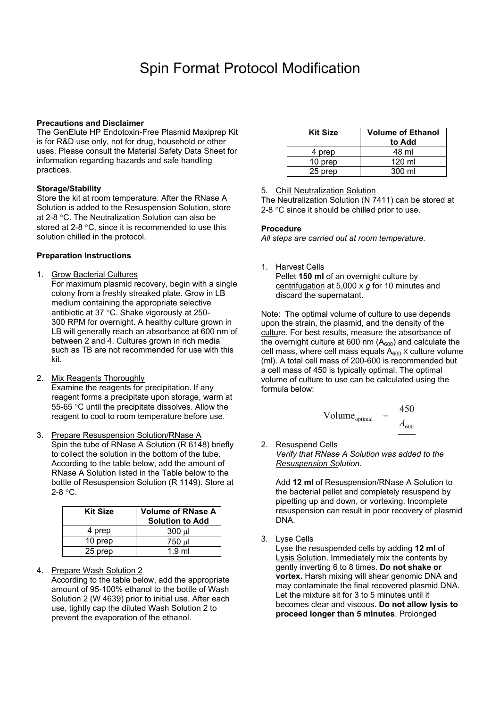#### **Precautions and Disclaimer**

The GenElute HP Endotoxin-Free Plasmid Maxiprep Kit is for R&D use only, not for drug, household or other uses. Please consult the Material Safety Data Sheet for information regarding hazards and safe handling practices.

#### **Storage/Stability**

Store the kit at room temperature. After the RNase A Solution is added to the Resuspension Solution, store at 2-8 °C. The Neutralization Solution can also be stored at 2-8 °C, since it is recommended to use this solution chilled in the protocol.

#### **Preparation Instructions**

1. Grow Bacterial Cultures

For maximum plasmid recovery, begin with a single colony from a freshly streaked plate. Grow in LB medium containing the appropriate selective antibiotic at 37 °C. Shake vigorously at 250- 300 RPM for overnight. A healthy culture grown in LB will generally reach an absorbance at 600 nm of between 2 and 4. Cultures grown in rich media such as TB are not recommended for use with this kit.

- 2. Mix Reagents Thoroughly Examine the reagents for precipitation. If any reagent forms a precipitate upon storage, warm at 55-65 °C until the precipitate dissolves. Allow the reagent to cool to room temperature before use.
- 3. Prepare Resuspension Solution/RNase A Spin the tube of RNase A Solution (R 6148) briefly to collect the solution in the bottom of the tube. According to the table below, add the amount of RNase A Solution listed in the Table below to the bottle of Resuspension Solution (R 1149). Store at 2-8 °C.

| <b>Kit Size</b> | Volume of RNase A  <br><b>Solution to Add</b> |
|-----------------|-----------------------------------------------|
| 4 prep          | 300 ul                                        |
| 10 prep         | 750 µl                                        |
| 25 prep         | $1.9$ ml                                      |

4. Prepare Wash Solution 2

According to the table below, add the appropriate amount of 95-100% ethanol to the bottle of Wash Solution 2 (W 4639) prior to initial use. After each use, tightly cap the diluted Wash Solution 2 to prevent the evaporation of the ethanol.

| <b>Kit Size</b> | <b>Volume of Ethanol</b><br>to Add |
|-----------------|------------------------------------|
| 4 prep          | 48 ml                              |
| 10 prep         | 120 ml                             |
| 25 prep         | 300 ml                             |

5. Chill Neutralization Solution

The Neutralization Solution (N 7411) can be stored at 2-8 °C since it should be chilled prior to use.

#### **Procedure**

*All steps are carried out at room temperature.*

1. Harvest Cells Pellet **150 ml** of an overnight culture by centrifugation at 5,000 X *g* for 10 minutes and discard the supernatant.

Note: The optimal volume of culture to use depends upon the strain, the plasmid, and the density of the culture. For best results, measure the absorbance of the overnight culture at 600 nm  $(A<sub>600</sub>)$  and calculate the cell mass, where cell mass equals  $A_{600}$  x culture volume (ml). A total cell mass of 200-600 is recommended but a cell mass of 450 is typically optimal. The optimal volume of culture to use can be calculated using the formula below:

$$
Volume_{optimal} = \frac{450}{A_{600}}
$$

2. Resuspend Cells *Verify that RNase A Solution was added to the Resuspension Solution.* 

Add **12 ml** of Resuspension/RNase A Solution to the bacterial pellet and completely resuspend by pipetting up and down, or vortexing. Incomplete resuspension can result in poor recovery of plasmid DNA.

3. Lyse Cells

Lyse the resuspended cells by adding **12 ml** of Lysis Solution. Immediately mix the contents by gently inverting 6 to 8 times. **Do not shake or vortex.** Harsh mixing will shear genomic DNA and may contaminate the final recovered plasmid DNA. Let the mixture sit for 3 to 5 minutes until it becomes clear and viscous. **Do not allow lysis to proceed longer than 5 minutes**. Prolonged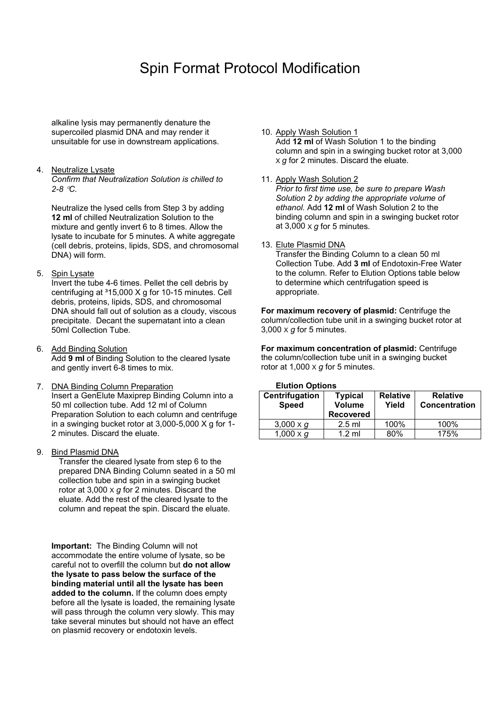alkaline lysis may permanently denature the supercoiled plasmid DNA and may render it unsuitable for use in downstream applications.

#### 4. Neutralize Lysate

*Confirm that Neutralization Solution is chilled to 2-8* °*C.* 

Neutralize the lysed cells from Step 3 by adding **12 ml** of chilled Neutralization Solution to the mixture and gently invert 6 to 8 times. Allow the lysate to incubate for 5 minutes. A white aggregate (cell debris, proteins, lipids, SDS, and chromosomal DNA) will form.

#### 5. Spin Lysate

Invert the tube 4-6 times. Pellet the cell debris by centrifuging at 315,000 X g for 10-15 minutes. Cell debris, proteins, lipids, SDS, and chromosomal DNA should fall out of solution as a cloudy, viscous precipitate. Decant the supernatant into a clean 50ml Collection Tube.

- 6. Add Binding Solution Add **9 ml** of Binding Solution to the cleared lysate and gently invert 6-8 times to mix.
- 7. DNA Binding Column Preparation Insert a GenElute Maxiprep Binding Column into a 50 ml collection tube. Add 12 ml of Column Preparation Solution to each column and centrifuge in a swinging bucket rotor at 3,000-5,000 X g for 1- 2 minutes. Discard the eluate.
- 9. Bind Plasmid DNA

Transfer the cleared lysate from step 6 to the prepared DNA Binding Column seated in a 50 ml collection tube and spin in a swinging bucket rotor at 3,000 X *g* for 2 minutes. Discard the eluate. Add the rest of the cleared lysate to the column and repeat the spin. Discard the eluate.

**Important:** The Binding Column will not accommodate the entire volume of lysate, so be careful not to overfill the column but **do not allow the lysate to pass below the surface of the binding material until all the lysate has been added to the column.** If the column does empty before all the lysate is loaded, the remaining lysate will pass through the column very slowly. This may take several minutes but should not have an effect on plasmid recovery or endotoxin levels.

#### 10. Apply Wash Solution 1

Add **12 ml** of Wash Solution 1 to the binding column and spin in a swinging bucket rotor at 3,000 X *g* for 2 minutes. Discard the eluate.

#### 11. Apply Wash Solution 2

*Prior to first time use, be sure to prepare Wash Solution 2 by adding the appropriate volume of ethanol.* Add **12 ml** of Wash Solution 2 to the binding column and spin in a swinging bucket rotor at 3,000 X *g* for 5 minutes.

#### 13. Elute Plasmid DNA

Transfer the Binding Column to a clean 50 ml Collection Tube. Add **3 ml** of Endotoxin-Free Water to the column. Refer to Elution Options table below to determine which centrifugation speed is appropriate.

**For maximum recovery of plasmid:** Centrifuge the column/collection tube unit in a swinging bucket rotor at 3,000 X *g* for 5 minutes.

 **For maximum concentration of plasmid:** Centrifuge the column/collection tube unit in a swinging bucket rotor at  $1,000 \times g$  for 5 minutes.

#### **Elution Options**

| ---------------                |                                                     |                          |                                         |  |  |
|--------------------------------|-----------------------------------------------------|--------------------------|-----------------------------------------|--|--|
| Centrifugation<br><b>Speed</b> | <b>Typical</b><br><b>Volume</b><br><b>Recovered</b> | <b>Relative</b><br>Yield | <b>Relative</b><br><b>Concentration</b> |  |  |
| 3,000 $\times$ g               | $2.5$ ml                                            | 100%                     | 100%                                    |  |  |
| 1,000 $\times$ g               | $1.2$ ml                                            | 80%                      | 175%                                    |  |  |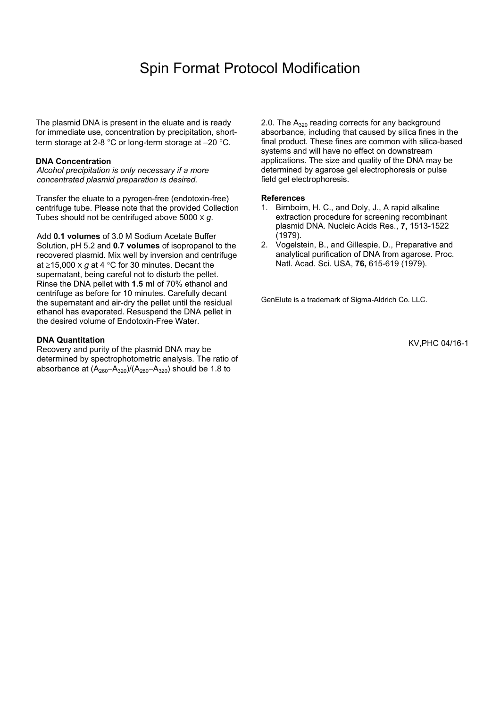The plasmid DNA is present in the eluate and is ready for immediate use, concentration by precipitation, shortterm storage at 2-8 °C or long-term storage at –20 °C.

#### **DNA Concentration**

*Alcohol precipitation is only necessary if a more concentrated plasmid preparation is desired.* 

Transfer the eluate to a pyrogen-free (endotoxin-free) centrifuge tube. Please note that the provided Collection Tubes should not be centrifuged above 5000 X *g*.

Add **0.1 volumes** of 3.0 M Sodium Acetate Buffer Solution, pH 5.2 and **0.7 volumes** of isopropanol to the recovered plasmid. Mix well by inversion and centrifuge at ≥15,000 X *g* at 4 °C for 30 minutes. Decant the supernatant, being careful not to disturb the pellet. Rinse the DNA pellet with **1.5 ml** of 70% ethanol and centrifuge as before for 10 minutes. Carefully decant the supernatant and air-dry the pellet until the residual ethanol has evaporated. Resuspend the DNA pellet in the desired volume of Endotoxin-Free Water.

#### **DNA Quantitation**

Recovery and purity of the plasmid DNA may be determined by spectrophotometric analysis. The ratio of absorbance at  $(A_{260}-A_{320})/(A_{280}-A_{320})$  should be 1.8 to

2.0. The  $A_{320}$  reading corrects for any background absorbance, including that caused by silica fines in the final product. These fines are common with silica-based systems and will have no effect on downstream applications. The size and quality of the DNA may be determined by agarose gel electrophoresis or pulse field gel electrophoresis.

#### **References**

- 1. Birnboim, H. C., and Doly, J., A rapid alkaline extraction procedure for screening recombinant plasmid DNA. Nucleic Acids Res., **7,** 1513-1522 (1979).
- 2. Vogelstein, B., and Gillespie, D., Preparative and analytical purification of DNA from agarose. Proc. Natl. Acad. Sci. USA, **76,** 615-619 (1979).

GenElute is a trademark of Sigma-Aldrich Co. LLC.

KV,PHC 04/16-1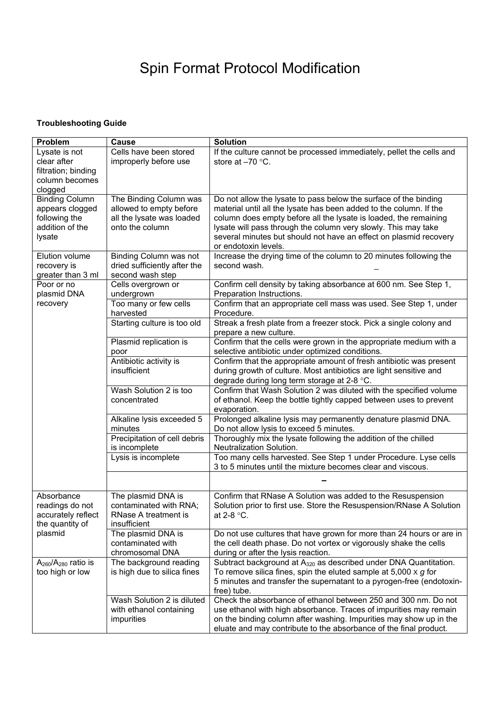### **Troubleshooting Guide**

| Problem                                                                                | Cause                                                                                             | <b>Solution</b>                                                                                                                                                                                                                                                                                                                                                           |
|----------------------------------------------------------------------------------------|---------------------------------------------------------------------------------------------------|---------------------------------------------------------------------------------------------------------------------------------------------------------------------------------------------------------------------------------------------------------------------------------------------------------------------------------------------------------------------------|
| Lysate is not<br>clear after<br>filtration; binding<br>column becomes<br>clogged       | Cells have been stored<br>improperly before use                                                   | If the culture cannot be processed immediately, pellet the cells and<br>store at $-70$ °C.                                                                                                                                                                                                                                                                                |
| <b>Binding Column</b><br>appears clogged<br>following the<br>addition of the<br>lysate | The Binding Column was<br>allowed to empty before<br>all the lysate was loaded<br>onto the column | Do not allow the lysate to pass below the surface of the binding<br>material until all the lysate has been added to the column. If the<br>column does empty before all the lysate is loaded, the remaining<br>lysate will pass through the column very slowly. This may take<br>several minutes but should not have an effect on plasmid recovery<br>or endotoxin levels. |
| Elution volume<br>recovery is<br>greater than 3 ml                                     | <b>Binding Column was not</b><br>dried sufficiently after the<br>second wash step                 | Increase the drying time of the column to 20 minutes following the<br>second wash.                                                                                                                                                                                                                                                                                        |
| Poor or no<br>plasmid DNA                                                              | Cells overgrown or<br>undergrown                                                                  | Confirm cell density by taking absorbance at 600 nm. See Step 1,<br>Preparation Instructions.                                                                                                                                                                                                                                                                             |
| recovery                                                                               | Too many or few cells<br>harvested                                                                | Confirm that an appropriate cell mass was used. See Step 1, under<br>Procedure.                                                                                                                                                                                                                                                                                           |
|                                                                                        | Starting culture is too old                                                                       | Streak a fresh plate from a freezer stock. Pick a single colony and<br>prepare a new culture.                                                                                                                                                                                                                                                                             |
|                                                                                        | Plasmid replication is<br>poor                                                                    | Confirm that the cells were grown in the appropriate medium with a<br>selective antibiotic under optimized conditions.                                                                                                                                                                                                                                                    |
|                                                                                        | Antibiotic activity is<br>insufficient                                                            | Confirm that the appropriate amount of fresh antibiotic was present<br>during growth of culture. Most antibiotics are light sensitive and<br>degrade during long term storage at 2-8 °C.                                                                                                                                                                                  |
|                                                                                        | Wash Solution 2 is too<br>concentrated                                                            | Confirm that Wash Solution 2 was diluted with the specified volume<br>of ethanol. Keep the bottle tightly capped between uses to prevent<br>evaporation.                                                                                                                                                                                                                  |
|                                                                                        | Alkaline lysis exceeded 5<br>minutes                                                              | Prolonged alkaline lysis may permanently denature plasmid DNA.<br>Do not allow lysis to exceed 5 minutes.                                                                                                                                                                                                                                                                 |
|                                                                                        | Precipitation of cell debris<br>is incomplete                                                     | Thoroughly mix the lysate following the addition of the chilled<br>Neutralization Solution.                                                                                                                                                                                                                                                                               |
|                                                                                        | Lysis is incomplete                                                                               | Too many cells harvested. See Step 1 under Procedure. Lyse cells<br>3 to 5 minutes until the mixture becomes clear and viscous.                                                                                                                                                                                                                                           |
|                                                                                        |                                                                                                   |                                                                                                                                                                                                                                                                                                                                                                           |
| Absorbance<br>readings do not<br>accurately reflect<br>the quantity of<br>plasmid      | The plasmid DNA is<br>contaminated with RNA;<br>RNase A treatment is<br>insufficient              | Confirm that RNase A Solution was added to the Resuspension<br>Solution prior to first use. Store the Resuspension/RNase A Solution<br>at 2-8 °C.                                                                                                                                                                                                                         |
|                                                                                        | The plasmid DNA is<br>contaminated with<br>chromosomal DNA                                        | Do not use cultures that have grown for more than 24 hours or are in<br>the cell death phase. Do not vortex or vigorously shake the cells<br>during or after the lysis reaction.                                                                                                                                                                                          |
| $A260/A280$ ratio is<br>too high or low                                                | The background reading<br>is high due to silica fines                                             | Subtract background at A <sub>320</sub> as described under DNA Quantitation.<br>To remove silica fines, spin the eluted sample at $5,000 \times g$ for<br>5 minutes and transfer the supernatant to a pyrogen-free (endotoxin-<br>free) tube.                                                                                                                             |
|                                                                                        | Wash Solution 2 is diluted<br>with ethanol containing<br>impurities                               | Check the absorbance of ethanol between 250 and 300 nm. Do not<br>use ethanol with high absorbance. Traces of impurities may remain<br>on the binding column after washing. Impurities may show up in the<br>eluate and may contribute to the absorbance of the final product.                                                                                            |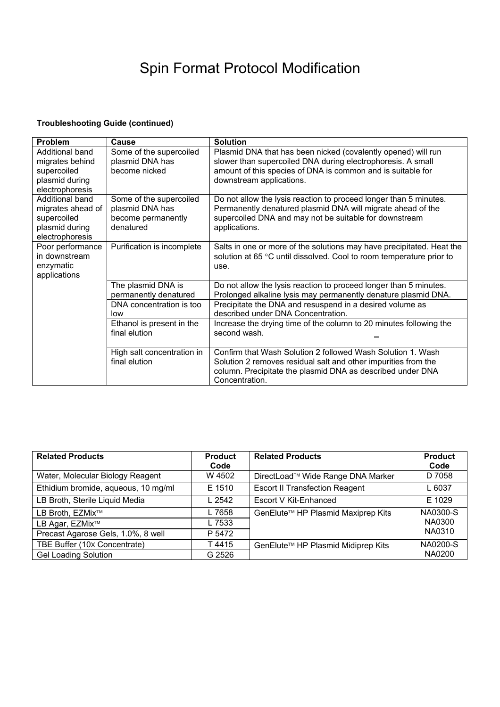### **Troubleshooting Guide (continued)**

| <b>Problem</b>                                                                           | Cause                                                                         | <b>Solution</b>                                                                                                                                                                                                         |
|------------------------------------------------------------------------------------------|-------------------------------------------------------------------------------|-------------------------------------------------------------------------------------------------------------------------------------------------------------------------------------------------------------------------|
| Additional band<br>migrates behind<br>supercoiled<br>plasmid during<br>electrophoresis   | Some of the supercoiled<br>plasmid DNA has<br>become nicked                   | Plasmid DNA that has been nicked (covalently opened) will run<br>slower than supercoiled DNA during electrophoresis. A small<br>amount of this species of DNA is common and is suitable for<br>downstream applications. |
| Additional band<br>migrates ahead of<br>supercoiled<br>plasmid during<br>electrophoresis | Some of the supercoiled<br>plasmid DNA has<br>become permanently<br>denatured | Do not allow the lysis reaction to proceed longer than 5 minutes.<br>Permanently denatured plasmid DNA will migrate ahead of the<br>supercoiled DNA and may not be suitable for downstream<br>applications.             |
| Poor performance<br>in downstream<br>enzymatic<br>applications                           | Purification is incomplete                                                    | Salts in one or more of the solutions may have precipitated. Heat the<br>solution at 65 °C until dissolved. Cool to room temperature prior to<br>use.                                                                   |
|                                                                                          | The plasmid DNA is<br>permanently denatured                                   | Do not allow the lysis reaction to proceed longer than 5 minutes.<br>Prolonged alkaline lysis may permanently denature plasmid DNA.                                                                                     |
|                                                                                          | DNA concentration is too<br>low                                               | Precipitate the DNA and resuspend in a desired volume as<br>described under DNA Concentration.                                                                                                                          |
|                                                                                          | Ethanol is present in the<br>final elution                                    | Increase the drying time of the column to 20 minutes following the<br>second wash.                                                                                                                                      |
|                                                                                          | High salt concentration in<br>final elution                                   | Confirm that Wash Solution 2 followed Wash Solution 1, Wash<br>Solution 2 removes residual salt and other impurities from the<br>column. Precipitate the plasmid DNA as described under DNA<br>Concentration.           |

| <b>Related Products</b>             | <b>Product</b><br>Code | <b>Related Products</b>               | <b>Product</b><br>Code |
|-------------------------------------|------------------------|---------------------------------------|------------------------|
| Water, Molecular Biology Reagent    | W 4502                 | DirectLoad™ Wide Range DNA Marker     | D 7058                 |
| Ethidium bromide, aqueous, 10 mg/ml | E 1510                 | <b>Escort II Transfection Reagent</b> | L 6037                 |
| LB Broth, Sterile Liquid Media      | L 2542                 | Escort V Kit-Enhanced                 | E 1029                 |
| LB Broth, EZMix <sup>™</sup>        | L 7658                 | GenElute™ HP Plasmid Maxiprep Kits    | NA0300-S               |
| LB Agar, EZMix <sup>™</sup>         | L 7533                 |                                       | NA0300                 |
| Precast Agarose Gels, 1.0%, 8 well  | P 5472                 |                                       | NA0310                 |
| TBE Buffer (10x Concentrate)        | T4415                  | GenElute™ HP Plasmid Midiprep Kits    | NA0200-S               |
| <b>Gel Loading Solution</b>         | G 2526                 |                                       | NA0200                 |